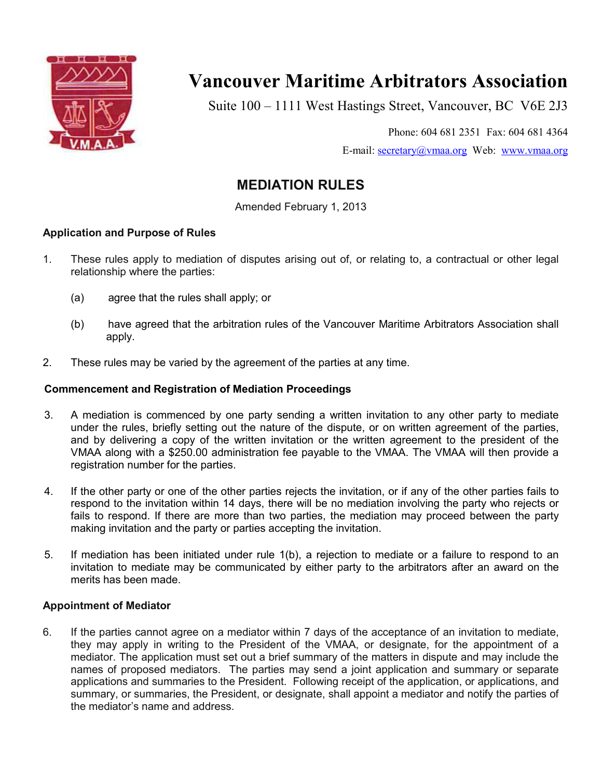

# **Vancouver Maritime Arbitrators Association**

Suite 100 – 1111 West Hastings Street, Vancouver, BC V6E 2J3

Phone: 604 681 2351 Fax: 604 681 4364 E-mail: secretary@vmaa.org Web: www.vmaa.org

# **MEDIATION RULES**

Amended February 1, 2013

# **Application and Purpose of Rules**

- 1. These rules apply to mediation of disputes arising out of, or relating to, a contractual or other legal relationship where the parties:
	- (a) agree that the rules shall apply; or
	- (b) have agreed that the arbitration rules of the Vancouver Maritime Arbitrators Association shall apply.
- 2. These rules may be varied by the agreement of the parties at any time.

# **Commencement and Registration of Mediation Proceedings**

- 3. A mediation is commenced by one party sending a written invitation to any other party to mediate under the rules, briefly setting out the nature of the dispute, or on written agreement of the parties, and by delivering a copy of the written invitation or the written agreement to the president of the VMAA along with a \$250.00 administration fee payable to the VMAA. The VMAA will then provide a registration number for the parties.
- 4. If the other party or one of the other parties rejects the invitation, or if any of the other parties fails to respond to the invitation within 14 days, there will be no mediation involving the party who rejects or fails to respond. If there are more than two parties, the mediation may proceed between the party making invitation and the party or parties accepting the invitation.
- 5. If mediation has been initiated under rule 1(b), a rejection to mediate or a failure to respond to an invitation to mediate may be communicated by either party to the arbitrators after an award on the merits has been made.

# **Appointment of Mediator**

6. If the parties cannot agree on a mediator within 7 days of the acceptance of an invitation to mediate, they may apply in writing to the President of the VMAA, or designate, for the appointment of a mediator. The application must set out a brief summary of the matters in dispute and may include the names of proposed mediators. The parties may send a joint application and summary or separate applications and summaries to the President. Following receipt of the application, or applications, and summary, or summaries, the President, or designate, shall appoint a mediator and notify the parties of the mediator's name and address.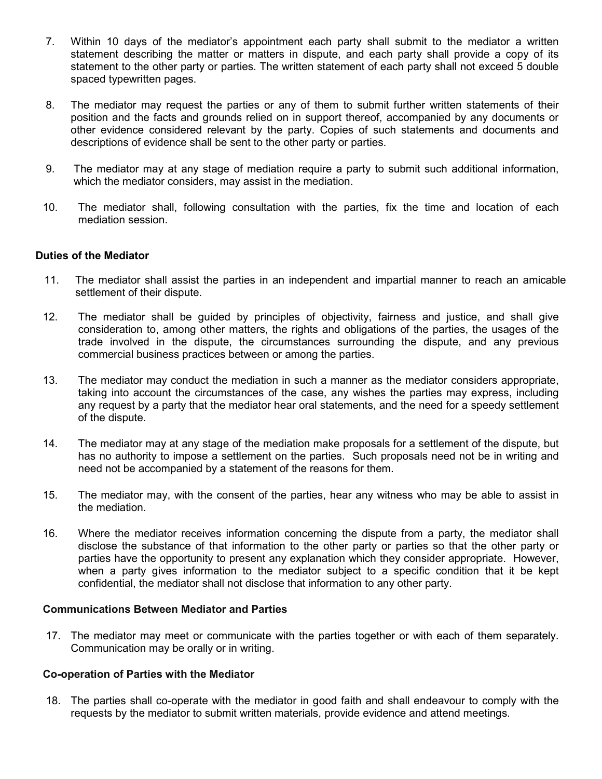- 7. Within 10 days of the mediator's appointment each party shall submit to the mediator a written statement describing the matter or matters in dispute, and each party shall provide a copy of its statement to the other party or parties. The written statement of each party shall not exceed 5 double spaced typewritten pages.
- 8. The mediator may request the parties or any of them to submit further written statements of their position and the facts and grounds relied on in support thereof, accompanied by any documents or other evidence considered relevant by the party. Copies of such statements and documents and descriptions of evidence shall be sent to the other party or parties.
- 9. The mediator may at any stage of mediation require a party to submit such additional information, which the mediator considers, may assist in the mediation.
- 10. The mediator shall, following consultation with the parties, fix the time and location of each mediation session.

### **Duties of the Mediator**

- 11. The mediator shall assist the parties in an independent and impartial manner to reach an amicable settlement of their dispute.
- 12. The mediator shall be guided by principles of objectivity, fairness and justice, and shall give consideration to, among other matters, the rights and obligations of the parties, the usages of the trade involved in the dispute, the circumstances surrounding the dispute, and any previous commercial business practices between or among the parties.
- 13. The mediator may conduct the mediation in such a manner as the mediator considers appropriate, taking into account the circumstances of the case, any wishes the parties may express, including any request by a party that the mediator hear oral statements, and the need for a speedy settlement of the dispute.
- 14. The mediator may at any stage of the mediation make proposals for a settlement of the dispute, but has no authority to impose a settlement on the parties. Such proposals need not be in writing and need not be accompanied by a statement of the reasons for them.
- 15. The mediator may, with the consent of the parties, hear any witness who may be able to assist in the mediation.
- 16. Where the mediator receives information concerning the dispute from a party, the mediator shall disclose the substance of that information to the other party or parties so that the other party or parties have the opportunity to present any explanation which they consider appropriate. However, when a party gives information to the mediator subject to a specific condition that it be kept confidential, the mediator shall not disclose that information to any other party.

#### **Communications Between Mediator and Parties**

17. The mediator may meet or communicate with the parties together or with each of them separately. Communication may be orally or in writing.

#### **Co-operation of Parties with the Mediator**

18. The parties shall co-operate with the mediator in good faith and shall endeavour to comply with the requests by the mediator to submit written materials, provide evidence and attend meetings.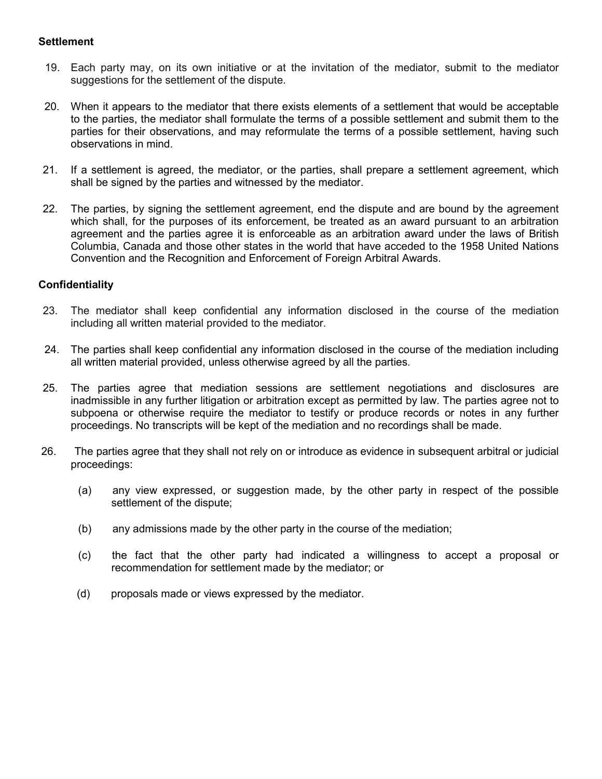### **Settlement**

- 19. Each party may, on its own initiative or at the invitation of the mediator, submit to the mediator suggestions for the settlement of the dispute.
- 20. When it appears to the mediator that there exists elements of a settlement that would be acceptable to the parties, the mediator shall formulate the terms of a possible settlement and submit them to the parties for their observations, and may reformulate the terms of a possible settlement, having such observations in mind.
- 21. If a settlement is agreed, the mediator, or the parties, shall prepare a settlement agreement, which shall be signed by the parties and witnessed by the mediator.
- 22. The parties, by signing the settlement agreement, end the dispute and are bound by the agreement which shall, for the purposes of its enforcement, be treated as an award pursuant to an arbitration agreement and the parties agree it is enforceable as an arbitration award under the laws of British Columbia, Canada and those other states in the world that have acceded to the 1958 United Nations Convention and the Recognition and Enforcement of Foreign Arbitral Awards.

# **Confidentiality**

- 23. The mediator shall keep confidential any information disclosed in the course of the mediation including all written material provided to the mediator.
- 24. The parties shall keep confidential any information disclosed in the course of the mediation including all written material provided, unless otherwise agreed by all the parties.
- 25. The parties agree that mediation sessions are settlement negotiations and disclosures are inadmissible in any further litigation or arbitration except as permitted by law. The parties agree not to subpoena or otherwise require the mediator to testify or produce records or notes in any further proceedings. No transcripts will be kept of the mediation and no recordings shall be made.
- 26. The parties agree that they shall not rely on or introduce as evidence in subsequent arbitral or judicial proceedings:
	- (a) any view expressed, or suggestion made, by the other party in respect of the possible settlement of the dispute;
	- (b) any admissions made by the other party in the course of the mediation;
	- (c) the fact that the other party had indicated a willingness to accept a proposal or recommendation for settlement made by the mediator; or
	- (d) proposals made or views expressed by the mediator.